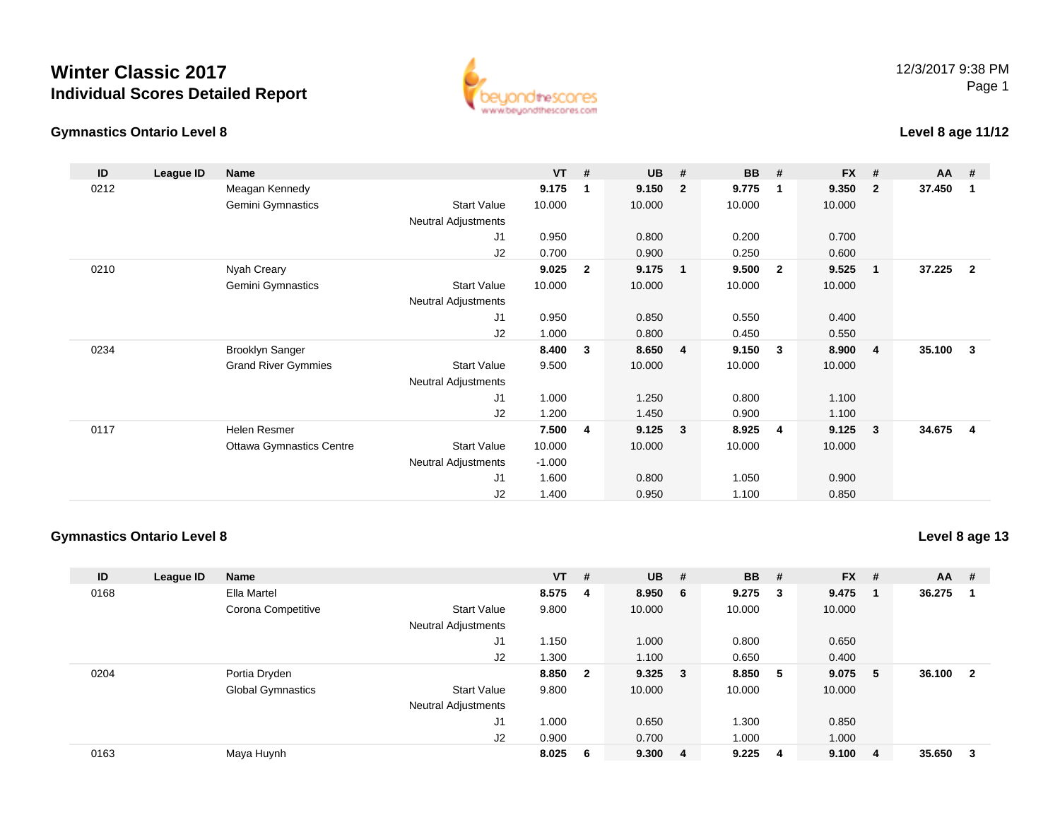



#### **Level 8 age 11/12**

| ID   | League ID | <b>Name</b>                     |                            | $VT$ #   |              | <b>UB</b> | #              | <b>BB</b> | #                       | <b>FX</b> | #                       | <b>AA</b> | #                       |
|------|-----------|---------------------------------|----------------------------|----------|--------------|-----------|----------------|-----------|-------------------------|-----------|-------------------------|-----------|-------------------------|
| 0212 |           | Meagan Kennedy                  |                            | 9.175    | 1            | 9.150     | $\mathbf{2}$   | 9.775     | $\mathbf 1$             | 9.350     | $\overline{2}$          | 37.450    | -1                      |
|      |           | Gemini Gymnastics               | <b>Start Value</b>         | 10.000   |              | 10.000    |                | 10.000    |                         | 10.000    |                         |           |                         |
|      |           |                                 | Neutral Adjustments        |          |              |           |                |           |                         |           |                         |           |                         |
|      |           |                                 | J1                         | 0.950    |              | 0.800     |                | 0.200     |                         | 0.700     |                         |           |                         |
|      |           |                                 | J2                         | 0.700    |              | 0.900     |                | 0.250     |                         | 0.600     |                         |           |                         |
| 0210 |           | Nyah Creary                     |                            | 9.025    | $\mathbf{2}$ | 9.175     | $\overline{1}$ | 9.500     | $\overline{\mathbf{2}}$ | 9.525     | $\overline{\mathbf{1}}$ | 37.225    | $\overline{2}$          |
|      |           | Gemini Gymnastics               | <b>Start Value</b>         | 10.000   |              | 10.000    |                | 10.000    |                         | 10.000    |                         |           |                         |
|      |           |                                 | Neutral Adjustments        |          |              |           |                |           |                         |           |                         |           |                         |
|      |           |                                 | J1                         | 0.950    |              | 0.850     |                | 0.550     |                         | 0.400     |                         |           |                         |
|      |           |                                 | J2                         | 1.000    |              | 0.800     |                | 0.450     |                         | 0.550     |                         |           |                         |
| 0234 |           | <b>Brooklyn Sanger</b>          |                            | 8.400    | 3            | 8.650     | 4              | 9.150     | $\mathbf{3}$            | 8.900     | -4                      | 35.100    | 3                       |
|      |           | <b>Grand River Gymmies</b>      | <b>Start Value</b>         | 9.500    |              | 10.000    |                | 10.000    |                         | 10.000    |                         |           |                         |
|      |           |                                 | <b>Neutral Adjustments</b> |          |              |           |                |           |                         |           |                         |           |                         |
|      |           |                                 | J1                         | 1.000    |              | 1.250     |                | 0.800     |                         | 1.100     |                         |           |                         |
|      |           |                                 | J2                         | 1.200    |              | 1.450     |                | 0.900     |                         | 1.100     |                         |           |                         |
| 0117 |           | Helen Resmer                    |                            | 7.500    | 4            | 9.125     | $\mathbf{3}$   | 8.925     | 4                       | 9.125     | $\overline{\mathbf{3}}$ | 34.675    | $\overline{\mathbf{4}}$ |
|      |           | <b>Ottawa Gymnastics Centre</b> | <b>Start Value</b>         | 10.000   |              | 10.000    |                | 10.000    |                         | 10.000    |                         |           |                         |
|      |           |                                 | Neutral Adjustments        | $-1.000$ |              |           |                |           |                         |           |                         |           |                         |
|      |           |                                 | J1                         | 1.600    |              | 0.800     |                | 1.050     |                         | 0.900     |                         |           |                         |
|      |           |                                 | J2                         | 1.400    |              | 0.950     |                | 1.100     |                         | 0.850     |                         |           |                         |

### **Gymnastics Ontario Level 8**

**Level 8 age 13**

| ID   | League ID | <b>Name</b>              |                            | $VT$ #  |                | $UB$ #      | <b>BB</b> | - #                     | $FX$ # |     | AA     | -#  |
|------|-----------|--------------------------|----------------------------|---------|----------------|-------------|-----------|-------------------------|--------|-----|--------|-----|
| 0168 |           | Ella Martel              |                            | 8.575 4 |                | 8.950 6     | 9.275     | $\overline{\mathbf{3}}$ | 9.475  |     | 36.275 | -1  |
|      |           | Corona Competitive       | <b>Start Value</b>         | 9.800   |                | 10.000      | 10.000    |                         | 10.000 |     |        |     |
|      |           |                          | <b>Neutral Adjustments</b> |         |                |             |           |                         |        |     |        |     |
|      |           |                          | J1                         | 1.150   |                | 1.000       | 0.800     |                         | 0.650  |     |        |     |
|      |           |                          | J2                         | .300    |                | 1.100       | 0.650     |                         | 0.400  |     |        |     |
| 0204 |           | Portia Dryden            |                            | 8.850   | $\overline{2}$ | $9.325 \t3$ | 8.850     | -5                      | 9.075  | - 5 | 36.100 | - 2 |
|      |           | <b>Global Gymnastics</b> | <b>Start Value</b>         | 9.800   |                | 10.000      | 10.000    |                         | 10.000 |     |        |     |
|      |           |                          | <b>Neutral Adjustments</b> |         |                |             |           |                         |        |     |        |     |
|      |           |                          | J <sub>1</sub>             | 1.000   |                | 0.650       | 1.300     |                         | 0.850  |     |        |     |
|      |           |                          | J2                         | 0.900   |                | 0.700       | 1.000     |                         | 1.000  |     |        |     |
| 0163 |           | Maya Huynh               |                            | 8.025   | - 6            | 9.300 4     | 9.225     | -4                      | 9.100  | -4  | 35.650 | - 3 |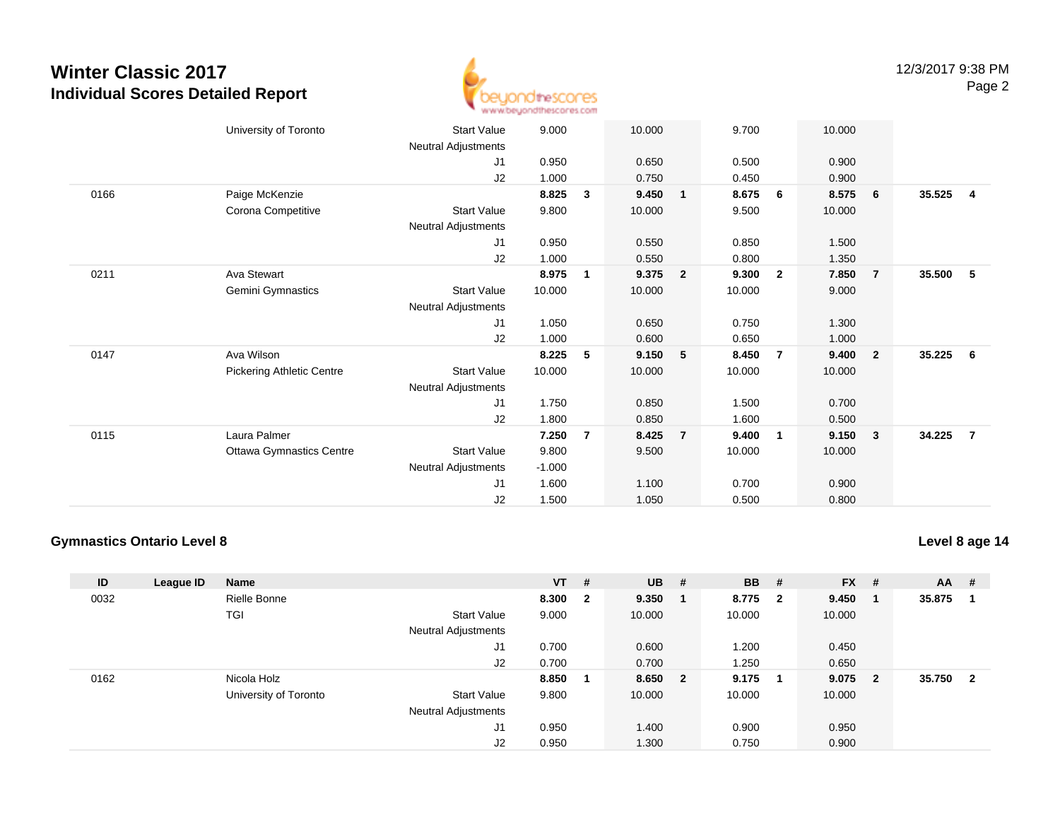

|      | University of Toronto            | <b>Start Value</b>         | 9.000    |                | 10.000 |                | 9.700  |                         | 10.000 |                         |        |                         |
|------|----------------------------------|----------------------------|----------|----------------|--------|----------------|--------|-------------------------|--------|-------------------------|--------|-------------------------|
|      |                                  | <b>Neutral Adjustments</b> |          |                |        |                |        |                         |        |                         |        |                         |
|      |                                  | J <sub>1</sub>             | 0.950    |                | 0.650  |                | 0.500  |                         | 0.900  |                         |        |                         |
|      |                                  | J2                         | 1.000    |                | 0.750  |                | 0.450  |                         | 0.900  |                         |        |                         |
| 0166 | Paige McKenzie                   |                            | 8.825    | 3              | 9.450  | $\mathbf{1}$   | 8.675  | - 6                     | 8.575  | 6                       | 35.525 | $\overline{\mathbf{4}}$ |
|      | Corona Competitive               | <b>Start Value</b>         | 9.800    |                | 10.000 |                | 9.500  |                         | 10.000 |                         |        |                         |
|      |                                  | Neutral Adjustments        |          |                |        |                |        |                         |        |                         |        |                         |
|      |                                  | J1                         | 0.950    |                | 0.550  |                | 0.850  |                         | 1.500  |                         |        |                         |
|      |                                  | J2                         | 1.000    |                | 0.550  |                | 0.800  |                         | 1.350  |                         |        |                         |
| 0211 | Ava Stewart                      |                            | 8.975    | $\mathbf{1}$   | 9.375  | $\overline{2}$ | 9.300  | $\overline{\mathbf{2}}$ | 7.850  | $\overline{7}$          | 35.500 | - 5                     |
|      | <b>Gemini Gymnastics</b>         | <b>Start Value</b>         | 10.000   |                | 10.000 |                | 10.000 |                         | 9.000  |                         |        |                         |
|      |                                  | Neutral Adjustments        |          |                |        |                |        |                         |        |                         |        |                         |
|      |                                  | J1                         | 1.050    |                | 0.650  |                | 0.750  |                         | 1.300  |                         |        |                         |
|      |                                  | J2                         | 1.000    |                | 0.600  |                | 0.650  |                         | 1.000  |                         |        |                         |
| 0147 | Ava Wilson                       |                            | 8.225    | 5              | 9.150  | 5              | 8.450  | $\overline{7}$          | 9.400  | $\overline{\mathbf{2}}$ | 35.225 | - 6                     |
|      | <b>Pickering Athletic Centre</b> | <b>Start Value</b>         | 10.000   |                | 10.000 |                | 10.000 |                         | 10.000 |                         |        |                         |
|      |                                  | Neutral Adjustments        |          |                |        |                |        |                         |        |                         |        |                         |
|      |                                  | J1                         | 1.750    |                | 0.850  |                | 1.500  |                         | 0.700  |                         |        |                         |
|      |                                  | J2                         | 1.800    |                | 0.850  |                | 1.600  |                         | 0.500  |                         |        |                         |
| 0115 | Laura Palmer                     |                            | 7.250    | $\overline{7}$ | 8.425  | $\overline{7}$ | 9.400  | $\overline{1}$          | 9.150  | $\overline{\mathbf{3}}$ | 34.225 | $\overline{7}$          |
|      | <b>Ottawa Gymnastics Centre</b>  | Start Value                | 9.800    |                | 9.500  |                | 10.000 |                         | 10.000 |                         |        |                         |
|      |                                  | Neutral Adjustments        | $-1.000$ |                |        |                |        |                         |        |                         |        |                         |
|      |                                  | J1                         | 1.600    |                | 1.100  |                | 0.700  |                         | 0.900  |                         |        |                         |
|      |                                  | J2                         | 1.500    |                | 1.050  |                | 0.500  |                         | 0.800  |                         |        |                         |
|      |                                  |                            |          |                |        |                |        |                         |        |                         |        |                         |

#### **Gymnastics Ontario Level 8**

**Level 8 age 14**

| ID   | League ID | <b>Name</b>           |                            | $VT$ # |                | $UB$ #  | <b>BB</b> | #                       | $FX$ # |                         | <b>AA</b> | #                       |
|------|-----------|-----------------------|----------------------------|--------|----------------|---------|-----------|-------------------------|--------|-------------------------|-----------|-------------------------|
| 0032 |           | Rielle Bonne          |                            | 8.300  | $\overline{2}$ | 9.350   | 8.775     | $\overline{\mathbf{2}}$ | 9.450  | - 1                     | 35.875    |                         |
|      |           | TGI                   | Start Value                | 9.000  |                | 10.000  | 10.000    |                         | 10.000 |                         |           |                         |
|      |           |                       | Neutral Adjustments        |        |                |         |           |                         |        |                         |           |                         |
|      |           |                       | J1                         | 0.700  |                | 0.600   | 1.200     |                         | 0.450  |                         |           |                         |
|      |           |                       | J2                         | 0.700  |                | 0.700   | 1.250     |                         | 0.650  |                         |           |                         |
| 0162 |           | Nicola Holz           |                            | 8.850  |                | 8.650 2 | 9.175     | - 1                     | 9.075  | $\overline{\mathbf{2}}$ | 35.750    | $\overline{\mathbf{2}}$ |
|      |           | University of Toronto | Start Value                | 9.800  |                | 10.000  | 10.000    |                         | 10.000 |                         |           |                         |
|      |           |                       | <b>Neutral Adjustments</b> |        |                |         |           |                         |        |                         |           |                         |
|      |           |                       | J1                         | 0.950  |                | 1.400   | 0.900     |                         | 0.950  |                         |           |                         |
|      |           |                       | J2                         | 0.950  |                | 1.300   | 0.750     |                         | 0.900  |                         |           |                         |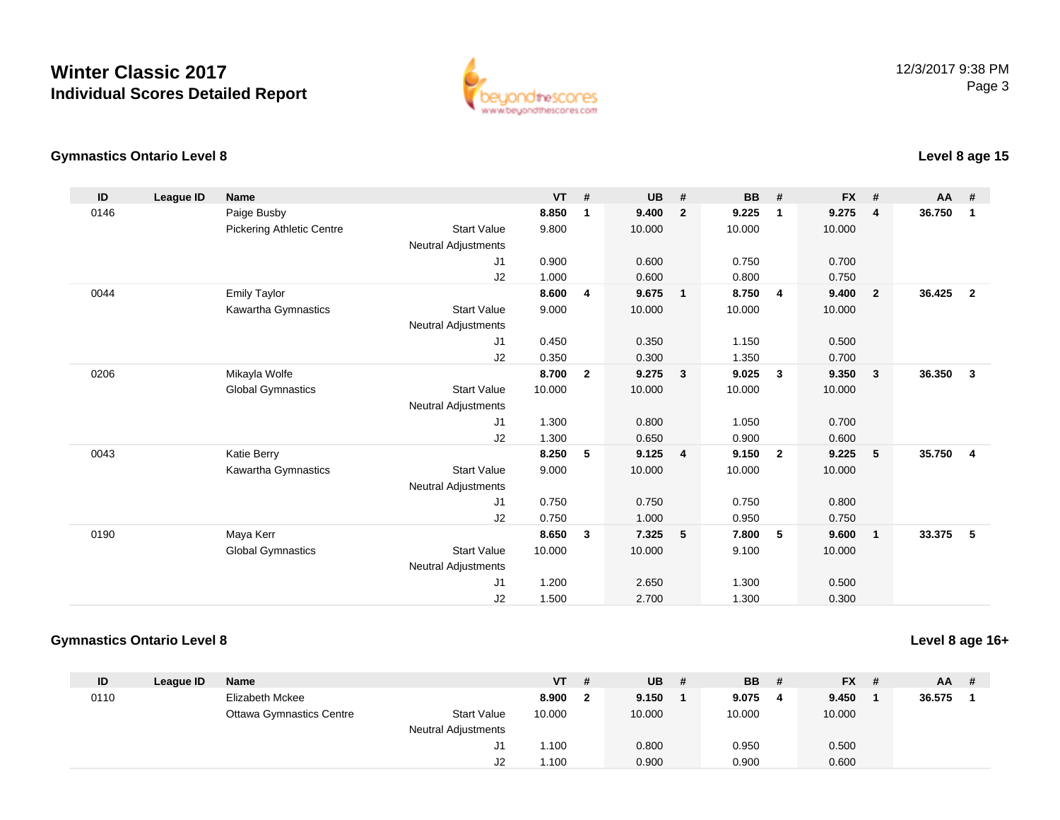

#### **Gymnastics Ontario Level 8Level 8 age 15**

| ID   | League ID | <b>Name</b>                      |                            | <b>VT</b> | #                       | <b>UB</b> | #              | <b>BB</b> | #            | FX #   |                | AA       | #                       |
|------|-----------|----------------------------------|----------------------------|-----------|-------------------------|-----------|----------------|-----------|--------------|--------|----------------|----------|-------------------------|
| 0146 |           | Paige Busby                      |                            | 8.850     | $\overline{\mathbf{1}}$ | 9.400     | $\overline{2}$ | 9.225     | 1            | 9.275  | $\overline{4}$ | 36.750   | $\overline{\mathbf{1}}$ |
|      |           | <b>Pickering Athletic Centre</b> | <b>Start Value</b>         | 9.800     |                         | 10.000    |                | 10.000    |              | 10.000 |                |          |                         |
|      |           |                                  | <b>Neutral Adjustments</b> |           |                         |           |                |           |              |        |                |          |                         |
|      |           |                                  | J <sub>1</sub>             | 0.900     |                         | 0.600     |                | 0.750     |              | 0.700  |                |          |                         |
|      |           |                                  | J2                         | 1.000     |                         | 0.600     |                | 0.800     |              | 0.750  |                |          |                         |
| 0044 |           | <b>Emily Taylor</b>              |                            | 8.600     | $\overline{4}$          | 9.675     | $\overline{1}$ | 8.750     | 4            | 9.400  | $\overline{2}$ | 36.425   | $\overline{2}$          |
|      |           | Kawartha Gymnastics              | <b>Start Value</b>         | 9.000     |                         | 10.000    |                | 10.000    |              | 10.000 |                |          |                         |
|      |           |                                  | <b>Neutral Adjustments</b> |           |                         |           |                |           |              |        |                |          |                         |
|      |           |                                  | J <sub>1</sub>             | 0.450     |                         | 0.350     |                | 1.150     |              | 0.500  |                |          |                         |
|      |           |                                  | J2                         | 0.350     |                         | 0.300     |                | 1.350     |              | 0.700  |                |          |                         |
| 0206 |           | Mikayla Wolfe                    |                            | 8.700     | $\overline{\mathbf{2}}$ | 9.275     | 3              | 9.025     | 3            | 9.350  | 3              | 36.350   | $\mathbf{3}$            |
|      |           | <b>Global Gymnastics</b>         | <b>Start Value</b>         | 10.000    |                         | 10.000    |                | 10.000    |              | 10.000 |                |          |                         |
|      |           |                                  | <b>Neutral Adjustments</b> |           |                         |           |                |           |              |        |                |          |                         |
|      |           |                                  | J <sub>1</sub>             | 1.300     |                         | 0.800     |                | 1.050     |              | 0.700  |                |          |                         |
|      |           |                                  | J2                         | 1.300     |                         | 0.650     |                | 0.900     |              | 0.600  |                |          |                         |
| 0043 |           | Katie Berry                      |                            | 8.250     | 5                       | 9.125     | $\overline{4}$ | 9.150     | $\mathbf{2}$ | 9.225  | 5              | 35.750 4 |                         |
|      |           | Kawartha Gymnastics              | <b>Start Value</b>         | 9.000     |                         | 10.000    |                | 10.000    |              | 10.000 |                |          |                         |
|      |           |                                  | <b>Neutral Adjustments</b> |           |                         |           |                |           |              |        |                |          |                         |
|      |           |                                  | J <sub>1</sub>             | 0.750     |                         | 0.750     |                | 0.750     |              | 0.800  |                |          |                         |
|      |           |                                  | J2                         | 0.750     |                         | 1.000     |                | 0.950     |              | 0.750  |                |          |                         |
| 0190 |           | Maya Kerr                        |                            | 8.650     | $\mathbf{3}$            | 7.325     | 5              | 7.800     | 5            | 9.600  | $\mathbf{1}$   | 33.375   | 5                       |
|      |           | <b>Global Gymnastics</b>         | <b>Start Value</b>         | 10.000    |                         | 10.000    |                | 9.100     |              | 10.000 |                |          |                         |
|      |           |                                  | <b>Neutral Adjustments</b> |           |                         |           |                |           |              |        |                |          |                         |
|      |           |                                  | J <sub>1</sub>             | 1.200     |                         | 2.650     |                | 1.300     |              | 0.500  |                |          |                         |
|      |           |                                  | J2                         | 1.500     |                         | 2.700     |                | 1.300     |              | 0.300  |                |          |                         |

## **Gymnastics Ontario Level 8**

## **Level 8 age 16+**

| ID   | League ID | <b>Name</b>                     |                     | <b>VT</b> | -#  | <b>UB</b> | # | <b>BB</b> | # | <b>FX</b> | $AA$ # |  |
|------|-----------|---------------------------------|---------------------|-----------|-----|-----------|---|-----------|---|-----------|--------|--|
| 0110 |           | Elizabeth Mckee                 |                     | 8.900     | - 2 | 9.150     |   | 9.075     | 4 | 9.450     | 36.575 |  |
|      |           | <b>Ottawa Gymnastics Centre</b> | <b>Start Value</b>  | 10.000    |     | 10.000    |   | 10.000    |   | 10.000    |        |  |
|      |           |                                 | Neutral Adjustments |           |     |           |   |           |   |           |        |  |
|      |           |                                 | J1                  | 1.100     |     | 0.800     |   | 0.950     |   | 0.500     |        |  |
|      |           |                                 | J2                  | 1.100     |     | 0.900     |   | 0.900     |   | 0.600     |        |  |